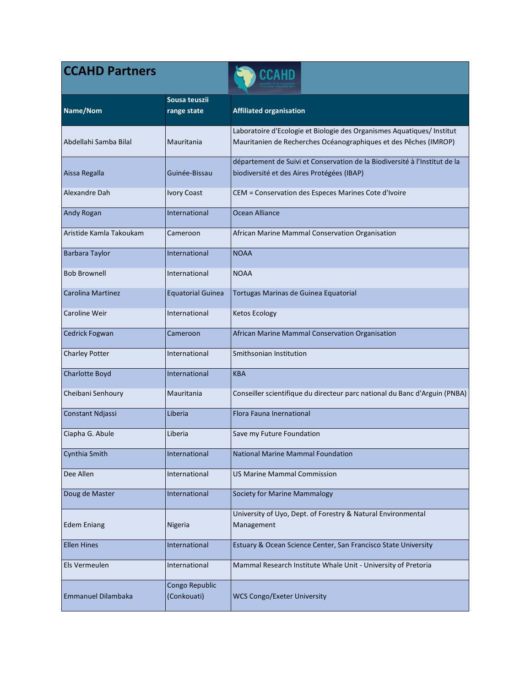| <b>CCAHD Partners</b>     |                               | CCAHD                                                                                                                                      |
|---------------------------|-------------------------------|--------------------------------------------------------------------------------------------------------------------------------------------|
| Name/Nom                  | Sousa teuszii<br>range state  | <b>Affiliated organisation</b>                                                                                                             |
| Abdellahi Samba Bilal     | Mauritania                    | Laboratoire d'Ecologie et Biologie des Organismes Aquatiques/ Institut<br>Mauritanien de Recherches Océanographiques et des Pêches (IMROP) |
| Aissa Regalla             | Guinée-Bissau                 | département de Suivi et Conservation de la Biodiversité à l'Institut de la<br>biodiversité et des Aires Protégées (IBAP)                   |
| Alexandre Dah             | <b>Ivory Coast</b>            | CEM = Conservation des Especes Marines Cote d'Ivoire                                                                                       |
| Andy Rogan                | International                 | Ocean Alliance                                                                                                                             |
| Aristide Kamla Takoukam   | Cameroon                      | African Marine Mammal Conservation Organisation                                                                                            |
| <b>Barbara Taylor</b>     | International                 | <b>NOAA</b>                                                                                                                                |
| <b>Bob Brownell</b>       | International                 | <b>NOAA</b>                                                                                                                                |
| Carolina Martinez         | <b>Equatorial Guinea</b>      | Tortugas Marinas de Guinea Equatorial                                                                                                      |
| Caroline Weir             | International                 | <b>Ketos Ecology</b>                                                                                                                       |
| Cedrick Fogwan            | Cameroon                      | African Marine Mammal Conservation Organisation                                                                                            |
| <b>Charley Potter</b>     | International                 | Smithsonian Institution                                                                                                                    |
| Charlotte Boyd            | International                 | <b>KBA</b>                                                                                                                                 |
| Cheibani Senhoury         | Mauritania                    | Conseiller scientifique du directeur parc national du Banc d'Arguin (PNBA)                                                                 |
| Constant Ndjassi          | Liberia                       | Flora Fauna Inernational                                                                                                                   |
| Ciapha G. Abule           | Liberia                       | Save my Future Foundation                                                                                                                  |
| Cynthia Smith             | International                 | National Marine Mammal Foundation                                                                                                          |
| Dee Allen                 | International                 | <b>US Marine Mammal Commission</b>                                                                                                         |
| Doug de Master            | International                 | <b>Society for Marine Mammalogy</b>                                                                                                        |
| <b>Edem Eniang</b>        |                               | University of Uyo, Dept. of Forestry & Natural Environmental                                                                               |
|                           | Nigeria                       | Management                                                                                                                                 |
| <b>Ellen Hines</b>        | International                 | Estuary & Ocean Science Center, San Francisco State University                                                                             |
| Els Vermeulen             | International                 | Mammal Research Institute Whale Unit - University of Pretoria                                                                              |
| <b>Emmanuel Dilambaka</b> | Congo Republic<br>(Conkouati) | <b>WCS Congo/Exeter University</b>                                                                                                         |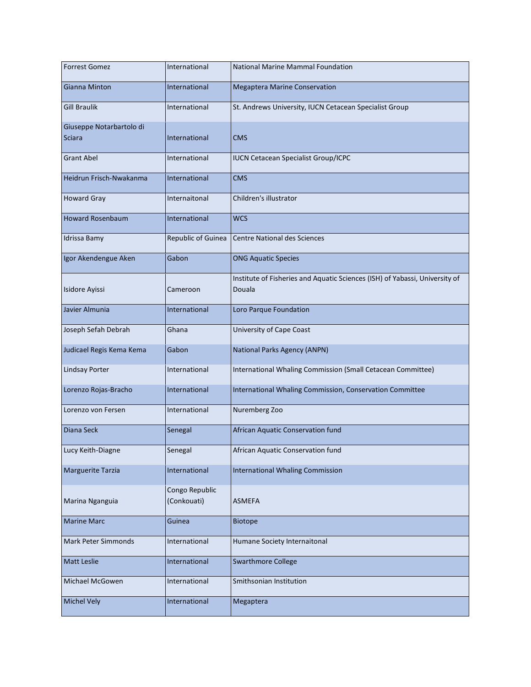| <b>Forrest Gomez</b>     | International      | <b>National Marine Mammal Foundation</b>                                    |
|--------------------------|--------------------|-----------------------------------------------------------------------------|
| Gianna Minton            | International      | <b>Megaptera Marine Conservation</b>                                        |
| <b>Gill Braulik</b>      | International      | St. Andrews University, IUCN Cetacean Specialist Group                      |
| Giuseppe Notarbartolo di |                    |                                                                             |
| Sciara                   | International      | <b>CMS</b>                                                                  |
| <b>Grant Abel</b>        | International      | <b>IUCN Cetacean Specialist Group/ICPC</b>                                  |
| Heidrun Frisch-Nwakanma  | International      | <b>CMS</b>                                                                  |
| <b>Howard Gray</b>       | Internaitonal      | Children's illustrator                                                      |
| <b>Howard Rosenbaum</b>  | International      | <b>WCS</b>                                                                  |
| Idrissa Bamy             | Republic of Guinea | <b>Centre National des Sciences</b>                                         |
| Igor Akendengue Aken     | Gabon              | <b>ONG Aquatic Species</b>                                                  |
|                          |                    | Institute of Fisheries and Aquatic Sciences (ISH) of Yabassi, University of |
| Isidore Ayissi           | Cameroon           | Douala                                                                      |
| Javier Almunia           | International      | Loro Parque Foundation                                                      |
| Joseph Sefah Debrah      | Ghana              | University of Cape Coast                                                    |
| Judicael Regis Kema Kema | Gabon              | National Parks Agency (ANPN)                                                |
| <b>Lindsay Porter</b>    | International      | International Whaling Commission (Small Cetacean Committee)                 |
| Lorenzo Rojas-Bracho     | International      | International Whaling Commission, Conservation Committee                    |
| Lorenzo von Fersen       | International      | Nuremberg Zoo                                                               |
| Diana Seck               | Senegal            | African Aquatic Conservation fund                                           |
| Lucy Keith-Diagne        | Senegal            | African Aquatic Conservation fund                                           |
| Marguerite Tarzia        | International      | <b>International Whaling Commission</b>                                     |
|                          | Congo Republic     |                                                                             |
| Marina Nganguia          | (Conkouati)        | <b>ASMEFA</b>                                                               |
| <b>Marine Marc</b>       | Guinea             | <b>Biotope</b>                                                              |
| Mark Peter Simmonds      | International      | Humane Society Internaitonal                                                |
| Matt Leslie              | International      | <b>Swarthmore College</b>                                                   |
| Michael McGowen          | International      | Smithsonian Institution                                                     |
| <b>Michel Vely</b>       | International      | Megaptera                                                                   |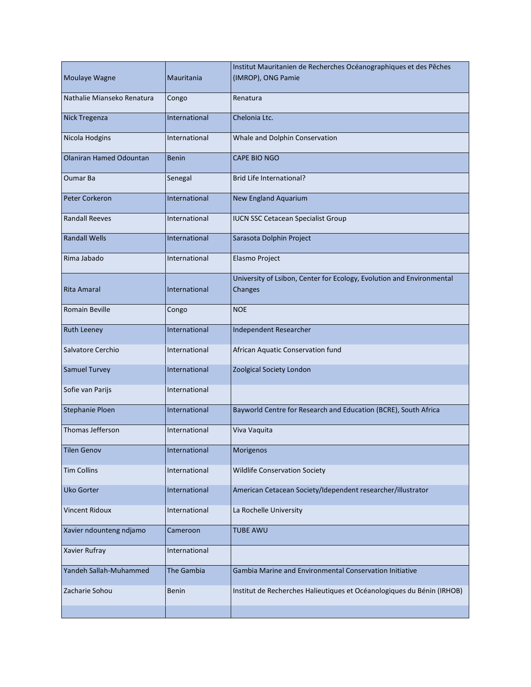| Moulaye Wagne                  | Mauritania    | Institut Mauritanien de Recherches Océanographiques et des Pêches<br>(IMROP), ONG Pamie |
|--------------------------------|---------------|-----------------------------------------------------------------------------------------|
| Nathalie Mianseko Renatura     | Congo         | Renatura                                                                                |
| <b>Nick Tregenza</b>           | International | Chelonia Ltc.                                                                           |
| Nicola Hodgins                 | International | Whale and Dolphin Conservation                                                          |
| <b>Olaniran Hamed Odountan</b> | <b>Benin</b>  | <b>CAPE BIO NGO</b>                                                                     |
| <b>Oumar Ba</b>                | Senegal       | Brid Life International?                                                                |
| <b>Peter Corkeron</b>          | International | New England Aquarium                                                                    |
| <b>Randall Reeves</b>          | International | <b>IUCN SSC Cetacean Specialist Group</b>                                               |
| <b>Randall Wells</b>           | International | Sarasota Dolphin Project                                                                |
| Rima Jabado                    | International | Elasmo Project                                                                          |
| <b>Rita Amaral</b>             | International | University of Lsibon, Center for Ecology, Evolution and Environmental<br>Changes        |
| Romain Beville                 | Congo         | <b>NOE</b>                                                                              |
| <b>Ruth Leeney</b>             | International | Independent Researcher                                                                  |
| Salvatore Cerchio              | International | African Aquatic Conservation fund                                                       |
| <b>Samuel Turvey</b>           | International | Zoolgical Society London                                                                |
| Sofie van Parijs               | International |                                                                                         |
| <b>Stephanie Ploen</b>         | International | Bayworld Centre for Research and Education (BCRE), South Africa                         |
| Thomas Jefferson               | International | Viva Vaquita                                                                            |
| <b>Tilen Genov</b>             | International | Morigenos                                                                               |
| <b>Tim Collins</b>             | International | <b>Wildlife Conservation Society</b>                                                    |
| <b>Uko Gorter</b>              | International | American Cetacean Society/Idependent researcher/illustrator                             |
| <b>Vincent Ridoux</b>          | International | La Rochelle University                                                                  |
| Xavier ndounteng ndjamo        | Cameroon      | <b>TUBE AWU</b>                                                                         |
| Xavier Rufray                  | International |                                                                                         |
| Yandeh Sallah-Muhammed         | The Gambia    | Gambia Marine and Environmental Conservation Initiative                                 |
| Zacharie Sohou                 | <b>Benin</b>  | Institut de Recherches Halieutiques et Océanologiques du Bénin (IRHOB)                  |
|                                |               |                                                                                         |